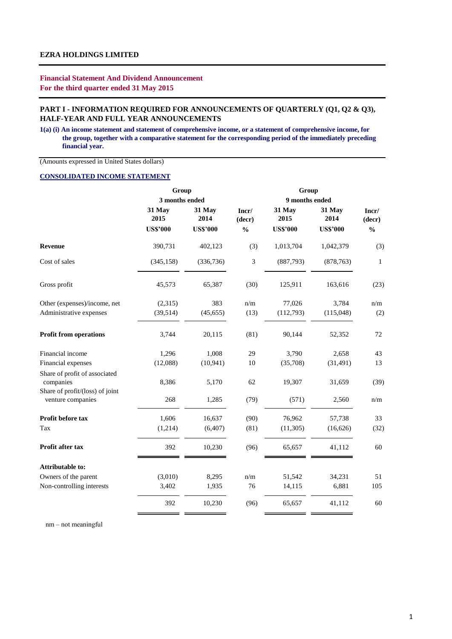## **Financial Statement And Dividend Announcement For the third quarter ended 31 May 2015**

## PART I - INFORMATION REQUIRED FOR ANNOUNCEMENTS OF QUARTERLY (Q1, Q2 & Q3), **HALF-YEAR AND FULL YEAR ANNOUNCEMENTS**

**1(a) (i) An income statement and statement of comprehensive income, or a statement of comprehensive income, for the group, together with a comparative statement for the corresponding period of the immediately preceding financial year.**

(Amounts expressed in United States dollars)

## **CONSOLIDATED INCOME STATEMENT**

|                |                 |                                            | Group<br>9 months ended |                 |                 |  |  |  |
|----------------|-----------------|--------------------------------------------|-------------------------|-----------------|-----------------|--|--|--|
|                |                 |                                            |                         |                 |                 |  |  |  |
| 31 May<br>2015 | 31 May<br>2014  | Incr/<br>(decr)                            | 31 May<br>2015          | 31 May<br>2014  | Incr/<br>(decr) |  |  |  |
|                |                 |                                            |                         |                 | $\frac{0}{0}$   |  |  |  |
| 390,731        | 402,123         | (3)                                        | 1,013,704               | 1,042,379       | (3)             |  |  |  |
| (345, 158)     | (336, 736)      | 3                                          | (887,793)               | (878, 763)      | $\mathbf{1}$    |  |  |  |
| 45,573         | 65,387          | (30)                                       | 125,911                 | 163,616         | (23)            |  |  |  |
| (2,315)        | 383             | n/m                                        | 77,026                  | 3,784           | n/m             |  |  |  |
| (39, 514)      | (45, 655)       | (13)                                       | (112,793)               | (115,048)       | (2)             |  |  |  |
| 3,744          | 20,115          | (81)                                       | 90,144                  | 52,352          | 72              |  |  |  |
| 1,296          | 1,008           | 29                                         | 3,790                   | 2,658           | 43              |  |  |  |
| (12,088)       | (10, 941)       | 10                                         | (35,708)                | (31, 491)       | 13              |  |  |  |
| 8,386          | 5,170           | 62                                         | 19,307                  | 31,659          | (39)            |  |  |  |
| 268            | 1,285           | (79)                                       | (571)                   | 2,560           | n/m             |  |  |  |
| 1,606          | 16,637          | (90)                                       | 76,962                  | 57,738          | 33              |  |  |  |
| (1,214)        | (6, 407)        | (81)                                       | (11, 305)               | (16,626)        | (32)            |  |  |  |
| 392            | 10,230          | (96)                                       | 65,657                  | 41,112          | 60              |  |  |  |
|                |                 |                                            |                         |                 |                 |  |  |  |
| (3,010)        | 8,295           | n/m                                        | 51,542                  | 34,231          | 51              |  |  |  |
| 3,402          | 1,935           | 76                                         | 14,115                  | 6,881           | 105             |  |  |  |
| 392            | 10,230          | (96)                                       | 65,657                  | 41,112          | 60              |  |  |  |
|                | <b>US\$'000</b> | Group<br>3 months ended<br><b>US\$'000</b> | $\frac{0}{0}$           | <b>US\$'000</b> | <b>US\$'000</b> |  |  |  |

nm – not meaningful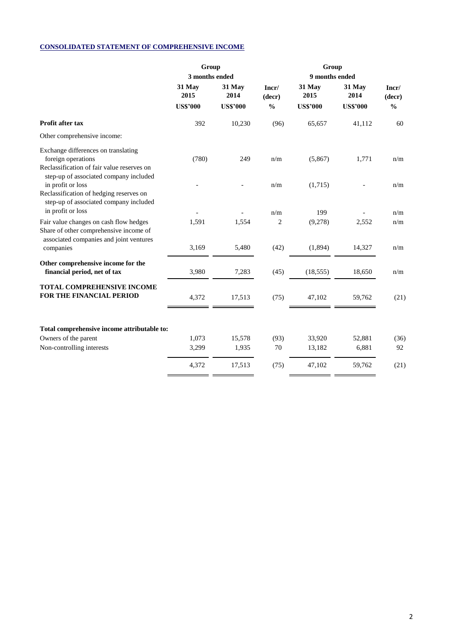# **CONSOLIDATED STATEMENT OF COMPREHENSIVE INCOME**

|                                                                                                                             | Group           |                 |                 |                 |                 |                 |
|-----------------------------------------------------------------------------------------------------------------------------|-----------------|-----------------|-----------------|-----------------|-----------------|-----------------|
|                                                                                                                             | 3 months ended  |                 |                 |                 |                 |                 |
|                                                                                                                             | 31 May<br>2015  | 31 May<br>2014  | Incr/<br>(decr) | 31 May<br>2015  | 31 May<br>2014  | Incr/<br>(decr) |
|                                                                                                                             | <b>US\$'000</b> | <b>US\$'000</b> | $\frac{0}{0}$   | <b>US\$'000</b> | <b>US\$'000</b> | $\frac{0}{0}$   |
| Profit after tax                                                                                                            | 392             | 10,230          | (96)            | 65,657          | 41,112          | 60              |
| Other comprehensive income:                                                                                                 |                 |                 |                 |                 |                 |                 |
| Exchange differences on translating<br>foreign operations<br>Reclassification of fair value reserves on                     | (780)           | 249             | n/m             | (5,867)         | 1,771           | n/m             |
| step-up of associated company included<br>in profit or loss<br>Reclassification of hedging reserves on                      |                 |                 | n/m             | (1,715)         |                 | n/m             |
| step-up of associated company included<br>in profit or loss                                                                 |                 |                 | n/m             | 199             |                 | n/m             |
| Fair value changes on cash flow hedges<br>Share of other comprehensive income of<br>associated companies and joint ventures | 1,591           | 1,554           | 2               | (9,278)         | 2,552           | n/m             |
| companies                                                                                                                   | 3,169           | 5,480           | (42)            | (1,894)         | 14,327          | n/m             |
| Other comprehensive income for the<br>financial period, net of tax                                                          | 3,980           | 7,283           | (45)            | (18, 555)       | 18,650          | n/m             |
| <b>TOTAL COMPREHENSIVE INCOME</b><br>FOR THE FINANCIAL PERIOD                                                               | 4,372           | 17,513          | (75)            | 47,102          | 59,762          | (21)            |
| Total comprehensive income attributable to:                                                                                 |                 |                 |                 |                 |                 |                 |
| Owners of the parent                                                                                                        | 1,073           | 15,578          | (93)            | 33,920          | 52,881          | (36)            |
| Non-controlling interests                                                                                                   | 3,299           | 1,935           | 70              | 13,182          | 6,881           | 92              |
|                                                                                                                             | 4,372           | 17,513          | (75)            | 47,102          | 59,762          | (21)            |
|                                                                                                                             |                 |                 |                 |                 |                 |                 |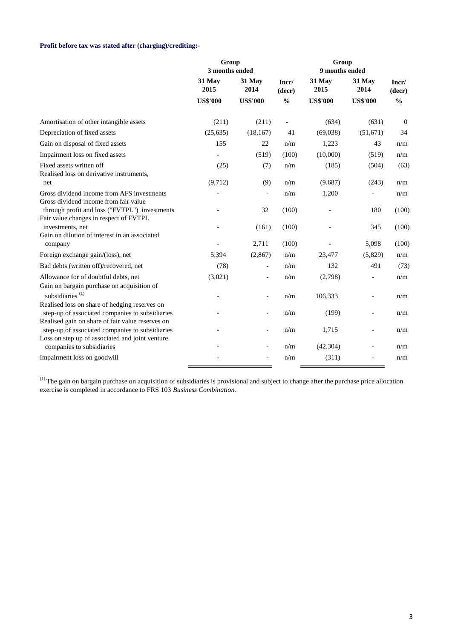# **Profit before tax was stated after (charging)/crediting:-**

|                                                                                                     | Group<br>3 months ended |                          |                          | Group<br>9 months ended |                          |                 |
|-----------------------------------------------------------------------------------------------------|-------------------------|--------------------------|--------------------------|-------------------------|--------------------------|-----------------|
|                                                                                                     | 31 May<br>2015          | 31 May<br>2014           | Incr/<br>(decr)          | 31 May<br>2015          | 31 May<br>2014           | Incr/<br>(decr) |
|                                                                                                     | <b>US\$'000</b>         | <b>US\$'000</b>          | $\frac{0}{0}$            | <b>US\$'000</b>         | <b>US\$'000</b>          | $\frac{0}{0}$   |
| Amortisation of other intangible assets                                                             | (211)                   | (211)                    | $\overline{\phantom{a}}$ | (634)                   | (631)                    | $\overline{0}$  |
| Depreciation of fixed assets                                                                        | (25, 635)               | (18, 167)                | 41                       | (69,038)                | (51, 671)                | 34              |
| Gain on disposal of fixed assets                                                                    | 155                     | 22                       | n/m                      | 1,223                   | 43                       | n/m             |
| Impairment loss on fixed assets                                                                     |                         | (519)                    | (100)                    | (10,000)                | (519)                    | n/m             |
| Fixed assets written off<br>Realised loss on derivative instruments,                                | (25)                    | (7)                      | n/m                      | (185)                   | (504)                    | (63)            |
| net                                                                                                 | (9,712)                 | (9)                      | n/m                      | (9,687)                 | (243)                    | n/m             |
| Gross dividend income from AFS investments<br>Gross dividend income from fair value                 |                         | $\overline{a}$           | n/m                      | 1,200                   | $\overline{a}$           | n/m             |
| through profit and loss ("FVTPL") investments<br>Fair value changes in respect of FVTPL             |                         | 32                       | (100)                    |                         | 180                      | (100)           |
| investments, net<br>Gain on dilution of interest in an associated                                   |                         | (161)                    | (100)                    |                         | 345                      | (100)           |
| company                                                                                             |                         | 2,711                    | (100)                    |                         | 5,098                    | (100)           |
| Foreign exchange gain/(loss), net                                                                   | 5,394                   | (2, 867)                 | n/m                      | 23,477                  | (5,829)                  | n/m             |
| Bad debts (written off)/recovered, net                                                              | (78)                    | $\blacksquare$           | n/m                      | 132                     | 491                      | (73)            |
| Allowance for of doubtful debts, net<br>Gain on bargain purchase on acquisition of                  | (3,021)                 | $\overline{\phantom{0}}$ | n/m                      | (2,798)                 | $\overline{\phantom{0}}$ | n/m             |
| subsidiaries <sup>(1)</sup><br>Realised loss on share of hedging reserves on                        |                         |                          | n/m                      | 106,333                 |                          | n/m             |
| step-up of associated companies to subsidiaries<br>Realised gain on share of fair value reserves on |                         |                          | n/m                      | (199)                   |                          | n/m             |
| step-up of associated companies to subsidiaries<br>Loss on step up of associated and joint venture  |                         | $\qquad \qquad -$        | n/m                      | 1,715                   |                          | n/m             |
| companies to subsidiaries                                                                           |                         |                          | n/m                      | (42, 304)               | $\overline{a}$           | n/m             |
| Impairment loss on goodwill                                                                         |                         |                          | n/m                      | (311)                   |                          | n/m             |

 $<sup>(1)</sup>$  The gain on bargain purchase on acquisition of subsidiaries is provisional and subject to change after the purchase price allocation</sup> exercise is completed in accordance to FRS 103 *Business Combination.*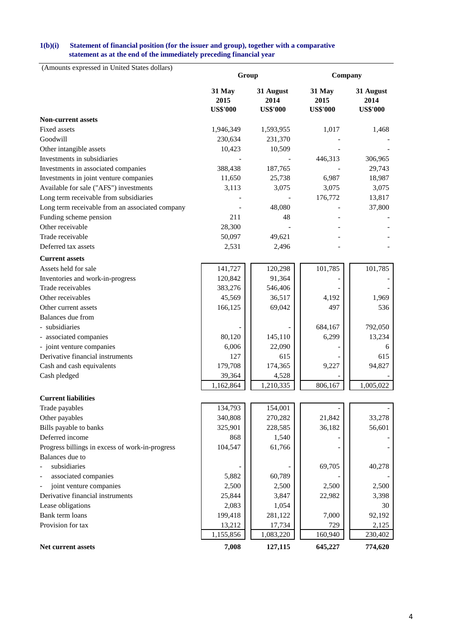### **statement as at the end of the immediately preceding financial year 1(b)(i) Statement of financial position (for the issuer and group), together with a comparative**

| (Amounts expressed in United States dollars)    |                 | Group             | Company         |                   |  |  |
|-------------------------------------------------|-----------------|-------------------|-----------------|-------------------|--|--|
|                                                 |                 |                   |                 |                   |  |  |
|                                                 | 31 May<br>2015  | 31 August<br>2014 | 31 May<br>2015  | 31 August<br>2014 |  |  |
|                                                 | <b>US\$'000</b> | <b>US\$'000</b>   | <b>US\$'000</b> | <b>US\$'000</b>   |  |  |
| <b>Non-current assets</b>                       |                 |                   |                 |                   |  |  |
| Fixed assets                                    | 1,946,349       | 1,593,955         | 1,017           | 1,468             |  |  |
| Goodwill                                        | 230,634         | 231,370           |                 |                   |  |  |
| Other intangible assets                         | 10,423          | 10,509            |                 |                   |  |  |
| Investments in subsidiaries                     |                 |                   | 446,313         | 306,965           |  |  |
| Investments in associated companies             | 388,438         | 187,765           |                 | 29,743            |  |  |
| Investments in joint venture companies          | 11,650          | 25,738            | 6,987           | 18,987            |  |  |
| Available for sale ("AFS") investments          | 3,113           | 3,075             | 3,075           | 3,075             |  |  |
| Long term receivable from subsidiaries          |                 |                   | 176,772         | 13,817            |  |  |
| Long term receivable from an associated company |                 | 48,080            |                 | 37,800            |  |  |
| Funding scheme pension                          | 211             | 48                |                 |                   |  |  |
| Other receivable                                | 28,300          |                   |                 |                   |  |  |
| Trade receivable                                | 50,097          | 49,621            |                 |                   |  |  |
| Deferred tax assets                             | 2,531           | 2,496             |                 |                   |  |  |
| <b>Current assets</b>                           |                 |                   |                 |                   |  |  |
| Assets held for sale                            | 141,727         | 120,298           | 101,785         | 101,785           |  |  |
| Inventories and work-in-progress                | 120,842         | 91,364            |                 |                   |  |  |
| Trade receivables                               | 383,276         | 546,406           |                 |                   |  |  |
| Other receivables                               | 45,569          | 36,517            | 4,192           | 1,969             |  |  |
| Other current assets                            | 166,125         | 69,042            | 497             | 536               |  |  |
| Balances due from                               |                 |                   |                 |                   |  |  |
| - subsidiaries                                  |                 |                   | 684,167         | 792,050           |  |  |
| - associated companies                          | 80,120          | 145,110           | 6,299           | 13,234            |  |  |
| - joint venture companies                       | 6,006           | 22,090            |                 | 6                 |  |  |
| Derivative financial instruments                | 127             | 615               |                 | 615               |  |  |
| Cash and cash equivalents                       | 179,708         | 174,365           | 9,227           | 94,827            |  |  |
| Cash pledged                                    | 39,364          | 4,528             |                 |                   |  |  |
|                                                 | 1,162,864       | 1,210,335         | 806,167         | 1,005,022         |  |  |
| <b>Current liabilities</b>                      |                 |                   |                 |                   |  |  |
| Trade payables                                  | 134,793         | 154,001           |                 |                   |  |  |
| Other payables                                  | 340,808         | 270,282           | 21,842          | 33,278            |  |  |
| Bills payable to banks                          | 325,901         | 228,585           | 36,182          | 56,601            |  |  |
| Deferred income                                 | 868             | 1,540             |                 |                   |  |  |
| Progress billings in excess of work-in-progress | 104,547         | 61,766            |                 |                   |  |  |
| Balances due to                                 |                 |                   |                 |                   |  |  |
| subsidiaries                                    |                 |                   | 69,705          | 40,278            |  |  |
| associated companies                            | 5,882           | 60,789            |                 |                   |  |  |
| joint venture companies                         | 2,500           | 2,500             | 2,500           | 2,500             |  |  |
| Derivative financial instruments                | 25,844          | 3,847             | 22,982          | 3,398             |  |  |
| Lease obligations                               | 2,083           | 1,054             |                 | 30                |  |  |
| Bank term loans                                 | 199,418         | 281,122           | 7,000           | 92,192            |  |  |
| Provision for tax                               | 13,212          | 17,734            | 729             | 2,125             |  |  |
|                                                 | 1,155,856       | 1,083,220         | 160,940         | 230,402           |  |  |
| Net current assets                              | 7,008           | 127,115           | 645,227         | 774,620           |  |  |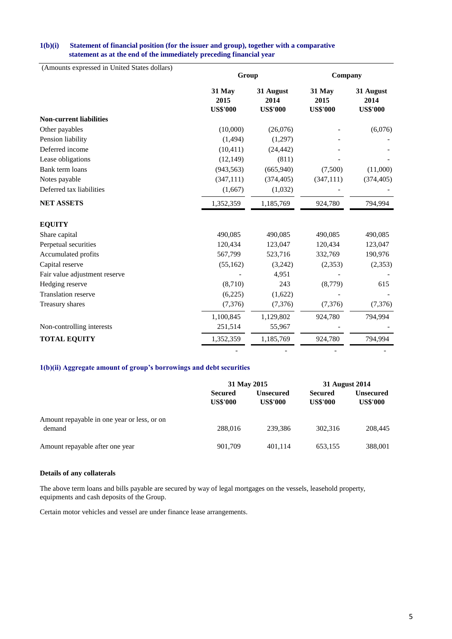## **statement as at the end of the immediately preceding financial year 1(b)(i) Statement of financial position (for the issuer and group), together with a comparative**

| (Amounts expressed in United States dollars) | Group<br>Company                  |                                      |                                   |                                      |  |  |  |
|----------------------------------------------|-----------------------------------|--------------------------------------|-----------------------------------|--------------------------------------|--|--|--|
|                                              |                                   |                                      |                                   |                                      |  |  |  |
|                                              | 31 May<br>2015<br><b>US\$'000</b> | 31 August<br>2014<br><b>US\$'000</b> | 31 May<br>2015<br><b>US\$'000</b> | 31 August<br>2014<br><b>US\$'000</b> |  |  |  |
| <b>Non-current liabilities</b>               |                                   |                                      |                                   |                                      |  |  |  |
| Other payables                               | (10,000)                          | (26,076)                             |                                   | (6,076)                              |  |  |  |
| Pension liability                            | (1, 494)                          | (1,297)                              |                                   |                                      |  |  |  |
| Deferred income                              | (10, 411)                         | (24, 442)                            |                                   |                                      |  |  |  |
| Lease obligations                            | (12, 149)                         | (811)                                |                                   |                                      |  |  |  |
| Bank term loans                              | (943, 563)                        | (665, 940)                           | (7,500)                           | (11,000)                             |  |  |  |
| Notes payable                                | (347, 111)                        | (374, 405)                           | (347, 111)                        | (374, 405)                           |  |  |  |
| Deferred tax liabilities                     | (1,667)                           | (1,032)                              |                                   |                                      |  |  |  |
| <b>NET ASSETS</b>                            | 1,352,359                         | 1,185,769                            | 924,780                           | 794,994                              |  |  |  |
| <b>EQUITY</b>                                |                                   |                                      |                                   |                                      |  |  |  |
| Share capital                                | 490,085                           | 490,085                              | 490,085                           | 490,085                              |  |  |  |
| Perpetual securities                         | 120,434                           | 123,047                              | 120,434                           | 123,047                              |  |  |  |
| Accumulated profits                          | 567,799                           | 523,716                              | 332,769                           | 190,976                              |  |  |  |
| Capital reserve                              | (55, 162)                         | (3,242)                              | (2,353)                           | (2,353)                              |  |  |  |
| Fair value adjustment reserve                |                                   | 4,951                                |                                   |                                      |  |  |  |
| Hedging reserve                              | (8,710)                           | 243                                  | (8,779)                           | 615                                  |  |  |  |
| <b>Translation reserve</b>                   | (6,225)                           | (1,622)                              |                                   |                                      |  |  |  |
| Treasury shares                              | (7, 376)                          | (7, 376)                             | (7,376)                           | (7, 376)                             |  |  |  |
|                                              | 1,100,845                         | 1,129,802                            | 924,780                           | 794,994                              |  |  |  |
| Non-controlling interests                    | 251,514                           | 55,967                               |                                   |                                      |  |  |  |
| <b>TOTAL EQUITY</b>                          | 1,352,359                         | 1,185,769                            | 924,780                           | 794,994                              |  |  |  |
|                                              |                                   |                                      |                                   |                                      |  |  |  |

## **1(b)(ii) Aggregate amount of group's borrowings and debt securities**

|                                                       | 31 May 2015                       |                              | 31 August 2014                    |                                     |  |
|-------------------------------------------------------|-----------------------------------|------------------------------|-----------------------------------|-------------------------------------|--|
|                                                       | <b>Secured</b><br><b>US\$'000</b> | Unsecured<br><b>US\$'000</b> | <b>Secured</b><br><b>US\$'000</b> | <b>Unsecured</b><br><b>US\$'000</b> |  |
| Amount repayable in one year or less, or on<br>demand | 288,016                           | 239.386                      | 302.316                           | 208,445                             |  |
| Amount repayable after one year                       | 901,709                           | 401,114                      | 653.155                           | 388,001                             |  |

### **Details of any collaterals**

equipments and cash deposits of the Group. The above term loans and bills payable are secured by way of legal mortgages on the vessels, leasehold property,

Certain motor vehicles and vessel are under finance lease arrangements.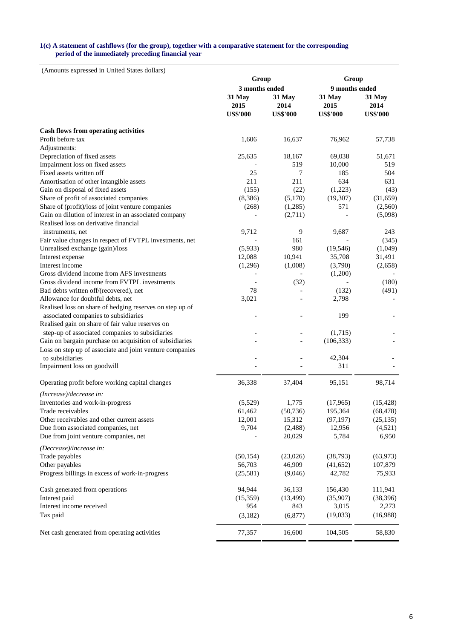#### **1(c) A statement of cashflows (for the group), together with a comparative statement for the corresponding period of the immediately preceding financial year**

|                                                                                  | Group           |                    | Group           |                  |  |  |
|----------------------------------------------------------------------------------|-----------------|--------------------|-----------------|------------------|--|--|
|                                                                                  | 3 months ended  |                    |                 | 9 months ended   |  |  |
|                                                                                  | 31 May<br>2015  | 31 May<br>2014     | 31 May<br>2015  | 31 May<br>2014   |  |  |
|                                                                                  | <b>US\$'000</b> | <b>US\$'000</b>    | <b>US\$'000</b> | <b>US\$'000</b>  |  |  |
| <b>Cash flows from operating activities</b>                                      |                 |                    |                 |                  |  |  |
| Profit before tax                                                                | 1,606           | 16,637             | 76,962          | 57,738           |  |  |
| Adjustments:                                                                     |                 |                    |                 |                  |  |  |
| Depreciation of fixed assets                                                     | 25,635          | 18,167             | 69,038          | 51,671           |  |  |
| Impairment loss on fixed assets                                                  |                 | 519                | 10,000          | 519              |  |  |
| Fixed assets written off                                                         | 25              | 7                  | 185             | 504              |  |  |
| Amortisation of other intangible assets                                          | 211             | 211                | 634             | 631              |  |  |
| Gain on disposal of fixed assets                                                 | (155)           | (22)               | (1,223)         | (43)             |  |  |
| Share of profit of associated companies                                          | (8,386)         | (5,170)            | (19, 307)       | (31,659)         |  |  |
| Share of (profit)/loss of joint venture companies                                | (268)           | (1,285)            | 571             | (2,560)          |  |  |
| Gain on dilution of interest in an associated company                            |                 | (2,711)            |                 | (5,098)          |  |  |
| Realised loss on derivative financial                                            |                 |                    |                 |                  |  |  |
| instruments, net                                                                 | 9,712           | 9                  | 9,687           | 243              |  |  |
| Fair value changes in respect of FVTPL investments, net                          |                 | 161                |                 | (345)            |  |  |
| Unrealised exchange (gain)/loss                                                  | (5,933)         | 980                | (19, 546)       | (1,049)          |  |  |
| Interest expense                                                                 | 12,088          | 10,941             | 35,708          | 31,491           |  |  |
| Interest income                                                                  | (1,296)         | (1,008)            | (3,790)         | (2,658)          |  |  |
| Gross dividend income from AFS investments                                       |                 |                    | (1,200)         |                  |  |  |
| Gross dividend income from FVTPL investments                                     |                 | (32)               |                 | (180)            |  |  |
| Bad debts written off/(recovered), net                                           | 78              |                    | (132)           | (491)            |  |  |
| Allowance for doubtful debts, net                                                | 3,021           |                    | 2,798           |                  |  |  |
| Realised loss on share of hedging reserves on step up of                         |                 |                    |                 |                  |  |  |
| associated companies to subsidiaries                                             |                 |                    | 199             |                  |  |  |
| Realised gain on share of fair value reserves on                                 |                 |                    |                 |                  |  |  |
| step-up of associated companies to subsidiaries                                  |                 |                    | (1,715)         |                  |  |  |
| Gain on bargain purchase on acquisition of subsidiaries                          |                 |                    | (106, 333)      |                  |  |  |
| Loss on step up of associate and joint venture companies<br>to subsidiaries      |                 |                    | 42,304          |                  |  |  |
| Impairment loss on goodwill                                                      |                 |                    | 311             |                  |  |  |
|                                                                                  |                 |                    |                 |                  |  |  |
| Operating profit before working capital changes                                  | 36,338          | 37,404             | 95,151          | 98,714           |  |  |
| (Increase)/decrease in:                                                          |                 |                    |                 |                  |  |  |
| Inventories and work-in-progress                                                 | (5,529)         | 1,775              | (17, 965)       | (15, 428)        |  |  |
| Trade receivables                                                                | 61,462          | (50, 736)          | 195,364         | (68, 478)        |  |  |
| Other receivables and other current assets<br>Due from associated companies, net | 12,001          | 15,312             | (97, 197)       | (25, 135)        |  |  |
| Due from joint venture companies, net                                            | 9,704           | (2, 488)<br>20,029 | 12,956<br>5,784 | (4,521)<br>6,950 |  |  |
|                                                                                  |                 |                    |                 |                  |  |  |
| (Decrease)/increase in:                                                          |                 |                    |                 |                  |  |  |
| Trade payables                                                                   | (50, 154)       | (23,026)           | (38, 793)       | (63, 973)        |  |  |
| Other payables                                                                   | 56,703          | 46,909             | (41, 652)       | 107,879          |  |  |
| Progress billings in excess of work-in-progress                                  | (25,581)        | (9,046)            | 42,782          | 75,933           |  |  |
| Cash generated from operations                                                   | 94,944          | 36,133             | 156,430         | 111,941          |  |  |
| Interest paid                                                                    | (15,359)        | (13, 499)          | (35,907)        | (38, 396)        |  |  |
| Interest income received                                                         | 954             | 843                | 3,015           | 2,273            |  |  |
| Tax paid                                                                         | (3,182)         | (6, 877)           | (19,033)        | (16,988)         |  |  |
| Net cash generated from operating activities                                     | 77,357          | 16,600             | 104,505         | 58,830           |  |  |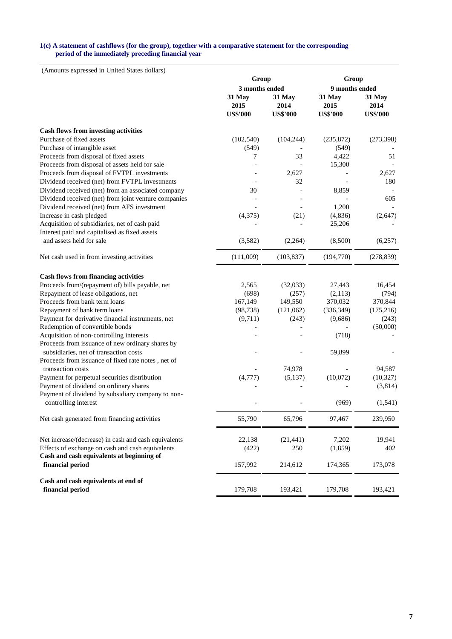#### **1(c) A statement of cashflows (for the group), together with a comparative statement for the corresponding period of the immediately preceding financial year**

| $(2 \text{ individuals})$                            | Group                             |                                   | Group                             |                                   |  |  |
|------------------------------------------------------|-----------------------------------|-----------------------------------|-----------------------------------|-----------------------------------|--|--|
|                                                      | 3 months ended                    |                                   | 9 months ended                    |                                   |  |  |
|                                                      | 31 May<br>2015<br><b>US\$'000</b> | 31 May<br>2014<br><b>US\$'000</b> | 31 May<br>2015<br><b>US\$'000</b> | 31 May<br>2014<br><b>US\$'000</b> |  |  |
|                                                      |                                   |                                   |                                   |                                   |  |  |
| <b>Cash flows from investing activities</b>          |                                   |                                   |                                   |                                   |  |  |
| Purchase of fixed assets                             | (102, 540)                        | (104, 244)                        | (235, 872)                        | (273, 398)                        |  |  |
| Purchase of intangible asset                         | (549)                             |                                   | (549)                             |                                   |  |  |
| Proceeds from disposal of fixed assets               | 7                                 | 33                                | 4,422                             | 51                                |  |  |
| Proceeds from disposal of assets held for sale       |                                   |                                   | 15,300                            |                                   |  |  |
| Proceeds from disposal of FVTPL investments          |                                   | 2,627                             |                                   | 2,627                             |  |  |
| Dividend received (net) from FVTPL investments       |                                   | 32                                |                                   | 180                               |  |  |
| Dividend received (net) from an associated company   | 30                                |                                   | 8,859                             |                                   |  |  |
| Dividend received (net) from joint venture companies |                                   |                                   |                                   | 605                               |  |  |
| Dividend received (net) from AFS investment          |                                   |                                   | 1,200                             |                                   |  |  |
| Increase in cash pledged                             | (4,375)                           | (21)                              | (4, 836)                          | (2,647)                           |  |  |
| Acquisition of subsidiaries, net of cash paid        |                                   |                                   | 25,206                            |                                   |  |  |
| Interest paid and capitalised as fixed assets        |                                   |                                   |                                   |                                   |  |  |
| and assets held for sale                             | (3,582)                           | (2, 264)                          | (8,500)                           | (6,257)                           |  |  |
| Net cash used in from investing activities           | (111,009)                         | (103, 837)                        | (194, 770)                        | (278, 839)                        |  |  |
| <b>Cash flows from financing activities</b>          |                                   |                                   |                                   |                                   |  |  |
| Proceeds from/(repayment of) bills payable, net      | 2,565                             | (32,033)                          | 27,443                            | 16,454                            |  |  |
| Repayment of lease obligations, net                  | (698)                             | (257)                             | (2,113)                           | (794)                             |  |  |
| Proceeds from bank term loans                        | 167,149                           | 149,550                           | 370,032                           | 370,844                           |  |  |
| Repayment of bank term loans                         | (98, 738)                         | (121,062)                         | (336, 349)                        | (175, 216)                        |  |  |
| Payment for derivative financial instruments, net    | (9,711)                           | (243)                             | (9,686)                           | (243)                             |  |  |
| Redemption of convertible bonds                      |                                   |                                   |                                   | (50,000)                          |  |  |
| Acquisition of non-controlling interests             |                                   |                                   | (718)                             |                                   |  |  |
| Proceeds from issuance of new ordinary shares by     |                                   |                                   |                                   |                                   |  |  |
| subsidiaries, net of transaction costs               |                                   |                                   | 59,899                            |                                   |  |  |
| Proceeds from issuance of fixed rate notes, net of   |                                   |                                   |                                   |                                   |  |  |
| transaction costs                                    |                                   | 74,978                            |                                   | 94,587                            |  |  |
| Payment for perpetual securities distribution        | (4,777)                           | (5,137)                           | (10,072)                          | (10, 327)                         |  |  |
| Payment of dividend on ordinary shares               |                                   |                                   |                                   | (3,814)                           |  |  |
| Payment of dividend by subsidiary company to non-    |                                   |                                   |                                   |                                   |  |  |
| controlling interest                                 |                                   |                                   | (969)                             | (1, 541)                          |  |  |
| Net cash generated from financing activities         | 55,790                            | 65,796                            | 97,467                            | 239,950                           |  |  |
| Net increase/(decrease) in cash and cash equivalents | 22,138                            | (21, 441)                         | 7,202                             | 19,941                            |  |  |
| Effects of exchange on cash and cash equivalents     | (422)                             | 250                               | (1,859)                           | 402                               |  |  |
| Cash and cash equivalents at beginning of            |                                   |                                   |                                   |                                   |  |  |
| financial period                                     | 157,992                           | 214,612                           | 174,365                           | 173,078                           |  |  |
| Cash and cash equivalents at end of                  |                                   |                                   |                                   |                                   |  |  |
| financial period                                     | 179,708                           | 193,421                           | 179,708                           | 193,421                           |  |  |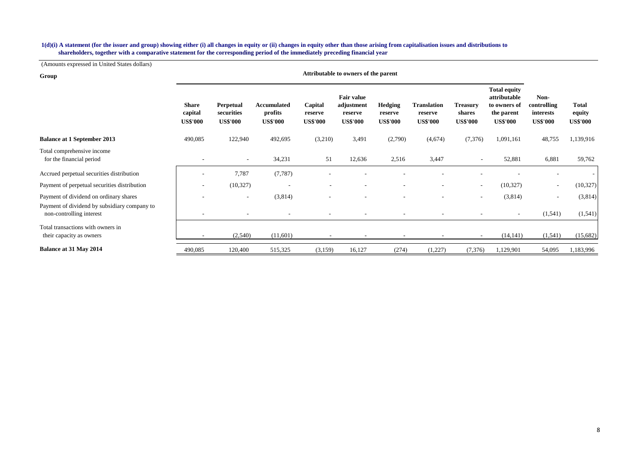#### **shareholders, together with a comparative statement for the corresponding period of the immediately preceding financial year 1(d)(i) A statement (for the issuer and group) showing either (i) all changes in equity or (ii) changes in equity other than those arising from capitalisation issues and distributions to**

| Group                                                                    |                                            |                                            |                                           |                                       | Attributable to owners of the parent                          |                                       |                                                  |                                              |                                                                                      |                                                     |                                           |
|--------------------------------------------------------------------------|--------------------------------------------|--------------------------------------------|-------------------------------------------|---------------------------------------|---------------------------------------------------------------|---------------------------------------|--------------------------------------------------|----------------------------------------------|--------------------------------------------------------------------------------------|-----------------------------------------------------|-------------------------------------------|
|                                                                          | <b>Share</b><br>capital<br><b>US\$'000</b> | Perpetual<br>securities<br><b>US\$'000</b> | Accumulated<br>profits<br><b>US\$'000</b> | Capital<br>reserve<br><b>US\$'000</b> | <b>Fair value</b><br>adjustment<br>reserve<br><b>US\$'000</b> | Hedging<br>reserve<br><b>US\$'000</b> | <b>Translation</b><br>reserve<br><b>US\$'000</b> | <b>Treasury</b><br>shares<br><b>US\$'000</b> | <b>Total equity</b><br>attributable<br>to owners of<br>the parent<br><b>US\$'000</b> | Non-<br>controlling<br>interests<br><b>US\$'000</b> | <b>Total</b><br>equity<br><b>US\$'000</b> |
| <b>Balance at 1 September 2013</b>                                       | 490,085                                    | 122,940                                    | 492,695                                   | (3,210)                               | 3,491                                                         | (2,790)                               | (4,674)                                          | (7,376)                                      | 1,091,161                                                                            | 48,755                                              | 1,139,916                                 |
| Total comprehensive income<br>for the financial period                   |                                            |                                            | 34,231                                    | 51                                    | 12,636                                                        | 2,516                                 | 3,447                                            |                                              | 52,881                                                                               | 6,881                                               | 59,762                                    |
| Accrued perpetual securities distribution                                |                                            | 7,787                                      | (7, 787)                                  |                                       |                                                               |                                       |                                                  |                                              |                                                                                      |                                                     |                                           |
| Payment of perpetual securities distribution                             |                                            | (10, 327)                                  |                                           |                                       |                                                               |                                       |                                                  | $\sim$                                       | (10, 327)                                                                            | ٠                                                   | (10, 327)                                 |
| Payment of dividend on ordinary shares                                   |                                            | $\overline{\phantom{a}}$                   | (3,814)                                   |                                       |                                                               |                                       |                                                  | $\overline{\phantom{a}}$                     | (3,814)                                                                              | $\overline{\phantom{a}}$                            | (3,814)                                   |
| Payment of dividend by subsidiary company to<br>non-controlling interest |                                            |                                            |                                           |                                       |                                                               |                                       |                                                  |                                              | ۰.                                                                                   | (1, 541)                                            | (1, 541)                                  |
| Total transactions with owners in<br>their capacity as owners            |                                            | (2,540)                                    | (11,601)                                  |                                       |                                                               | $\overline{\phantom{a}}$              |                                                  | $\overline{\phantom{a}}$                     | (14, 141)                                                                            | (1, 541)                                            | (15,682)                                  |
| Balance at 31 May 2014                                                   | 490,085                                    | 120,400                                    | 515,325                                   | (3,159)                               | 16,127                                                        | (274)                                 | (1,227)                                          | (7, 376)                                     | 1,129,901                                                                            | 54,095                                              | ,183,996                                  |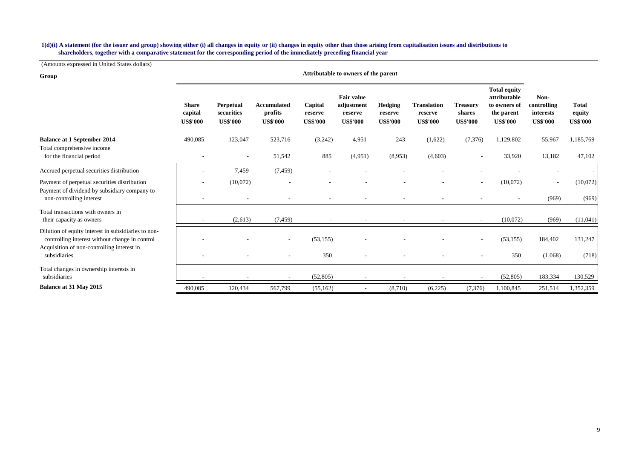#### **shareholders, together with a comparative statement for the corresponding period of the immediately preceding financial year 1(d)(i) A statement (for the issuer and group) showing either (i) all changes in equity or (ii) changes in equity other than those arising from capitalisation issues and distributions to**

| Group                                                                                                 | Attributable to owners of the parent       |                                            |                                                  |                                       |                                                        |                                       |                                                  |                                              |                                                                                      |                                                     |                                           |
|-------------------------------------------------------------------------------------------------------|--------------------------------------------|--------------------------------------------|--------------------------------------------------|---------------------------------------|--------------------------------------------------------|---------------------------------------|--------------------------------------------------|----------------------------------------------|--------------------------------------------------------------------------------------|-----------------------------------------------------|-------------------------------------------|
|                                                                                                       | <b>Share</b><br>capital<br><b>US\$'000</b> | Perpetual<br>securities<br><b>US\$'000</b> | <b>Accumulated</b><br>profits<br><b>US\$'000</b> | Capital<br>reserve<br><b>US\$'000</b> | Fair value<br>adjustment<br>reserve<br><b>US\$'000</b> | Hedging<br>reserve<br><b>US\$'000</b> | <b>Translation</b><br>reserve<br><b>US\$'000</b> | <b>Treasury</b><br>shares<br><b>US\$'000</b> | <b>Total equity</b><br>attributable<br>to owners of<br>the parent<br><b>US\$'000</b> | Non-<br>controlling<br>interests<br><b>US\$'000</b> | <b>Total</b><br>equity<br><b>US\$'000</b> |
| <b>Balance at 1 September 2014</b>                                                                    | 490,085                                    | 123,047                                    | 523,716                                          | (3,242)                               | 4,951                                                  | 243                                   | (1,622)                                          | (7, 376)                                     | 1,129,802                                                                            | 55,967                                              | 1,185,769                                 |
| Total comprehensive income<br>for the financial period                                                |                                            | ٠                                          | 51,542                                           | 885                                   | (4,951)                                                | (8,953)                               | (4,603)                                          |                                              | 33,920                                                                               | 13,182                                              | 47,102                                    |
| Accrued perpetual securities distribution                                                             |                                            | 7,459                                      | (7, 459)                                         |                                       |                                                        |                                       |                                                  |                                              |                                                                                      |                                                     |                                           |
| Payment of perpetual securities distribution                                                          |                                            | (10,072)                                   |                                                  |                                       |                                                        |                                       |                                                  |                                              | (10,072)                                                                             |                                                     | (10,072)                                  |
| Payment of dividend by subsidiary company to<br>non-controlling interest                              |                                            |                                            |                                                  |                                       |                                                        |                                       |                                                  |                                              |                                                                                      | (969)                                               | (969)                                     |
| Total transactions with owners in<br>their capacity as owners                                         |                                            | (2,613)                                    | (7, 459)                                         |                                       |                                                        |                                       |                                                  |                                              | (10,072)                                                                             | (969)                                               | (11,041)                                  |
| Dilution of equity interest in subsidiaries to non-<br>controlling interest without change in control |                                            |                                            | $\sim$                                           | (53, 155)                             |                                                        |                                       |                                                  |                                              | (53, 155)                                                                            | 184,402                                             | 131,247                                   |
| Acquisition of non-controlling interest in<br>subsidiaries                                            |                                            |                                            |                                                  | 350                                   |                                                        |                                       |                                                  |                                              | 350                                                                                  | (1,068)                                             | (718)                                     |
| Total changes in ownership interests in<br>subsidiaries                                               |                                            |                                            |                                                  | (52, 805)                             |                                                        |                                       |                                                  |                                              | (52, 805)                                                                            | 183,334                                             | 130,529                                   |
| Balance at 31 May 2015                                                                                | 490,085                                    | 120,434                                    | 567,799                                          | (55, 162)                             |                                                        | (8,710)                               | (6,225)                                          | (7, 376)                                     | 1,100,845                                                                            | 251,514                                             | 1,352,359                                 |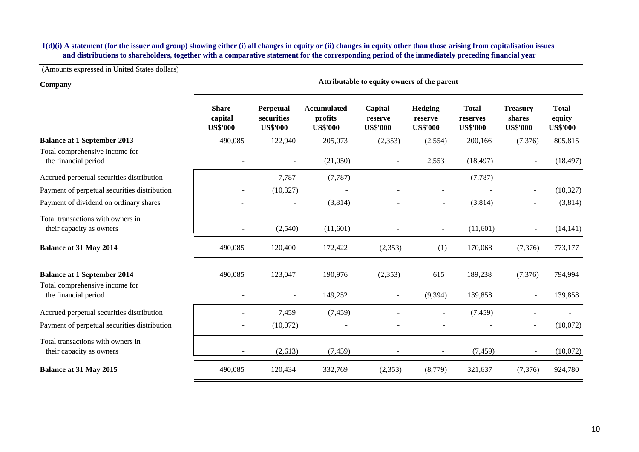# **and distributions to shareholders, together with a comparative statement for the corresponding period of the immediately preceding financial year 1(d)(i) A statement (for the issuer and group) showing either (i) all changes in equity or (ii) changes in equity other than those arising from capitalisation issues**

| Company                                                              | Attributable to equity owners of the parent |                                            |                                                  |                                       |                                              |                                             |                                              |                                           |  |  |
|----------------------------------------------------------------------|---------------------------------------------|--------------------------------------------|--------------------------------------------------|---------------------------------------|----------------------------------------------|---------------------------------------------|----------------------------------------------|-------------------------------------------|--|--|
|                                                                      | <b>Share</b><br>capital<br><b>US\$'000</b>  | Perpetual<br>securities<br><b>US\$'000</b> | <b>Accumulated</b><br>profits<br><b>US\$'000</b> | Capital<br>reserve<br><b>US\$'000</b> | <b>Hedging</b><br>reserve<br><b>US\$'000</b> | <b>Total</b><br>reserves<br><b>US\$'000</b> | <b>Treasury</b><br>shares<br><b>US\$'000</b> | <b>Total</b><br>equity<br><b>US\$'000</b> |  |  |
| <b>Balance at 1 September 2013</b>                                   | 490,085                                     | 122,940                                    | 205,073                                          | (2,353)                               | (2,554)                                      | 200,166                                     | (7,376)                                      | 805,815                                   |  |  |
| Total comprehensive income for<br>the financial period               |                                             | $\overline{\phantom{a}}$                   | (21,050)                                         | $\overline{\phantom{a}}$              | 2,553                                        | (18, 497)                                   | $\blacksquare$                               | (18, 497)                                 |  |  |
| Accrued perpetual securities distribution                            |                                             | 7,787                                      | (7, 787)                                         |                                       |                                              | (7, 787)                                    |                                              |                                           |  |  |
| Payment of perpetual securities distribution                         |                                             | (10, 327)                                  |                                                  |                                       |                                              |                                             |                                              | (10,327)                                  |  |  |
| Payment of dividend on ordinary shares                               |                                             |                                            | (3,814)                                          |                                       |                                              | (3,814)                                     |                                              | (3,814)                                   |  |  |
| Total transactions with owners in<br>their capacity as owners        |                                             | (2,540)                                    | (11,601)                                         |                                       |                                              | (11,601)                                    | ٠                                            | (14, 141)                                 |  |  |
| <b>Balance at 31 May 2014</b>                                        | 490,085                                     | 120,400                                    | 172,422                                          | (2, 353)                              | (1)                                          | 170,068                                     | (7, 376)                                     | 773,177                                   |  |  |
| <b>Balance at 1 September 2014</b><br>Total comprehensive income for | 490,085                                     | 123,047                                    | 190,976                                          | (2,353)                               | 615                                          | 189,238                                     | (7,376)                                      | 794,994                                   |  |  |
| the financial period                                                 |                                             |                                            | 149,252                                          |                                       | (9,394)                                      | 139,858                                     | $\overline{\phantom{0}}$                     | 139,858                                   |  |  |
| Accrued perpetual securities distribution                            |                                             | 7,459                                      | (7, 459)                                         |                                       |                                              | (7, 459)                                    |                                              |                                           |  |  |
| Payment of perpetual securities distribution                         |                                             | (10,072)                                   |                                                  |                                       |                                              |                                             |                                              | (10,072)                                  |  |  |
| Total transactions with owners in<br>their capacity as owners        | $\blacksquare$                              | (2,613)                                    | (7, 459)                                         | $\overline{\phantom{a}}$              | $\overline{\phantom{a}}$                     | (7, 459)                                    | $\overline{\phantom{a}}$                     | (10,072)                                  |  |  |
| Balance at 31 May 2015                                               | 490,085                                     | 120,434                                    | 332,769                                          | (2, 353)                              | (8,779)                                      | 321,637                                     | (7,376)                                      | 924,780                                   |  |  |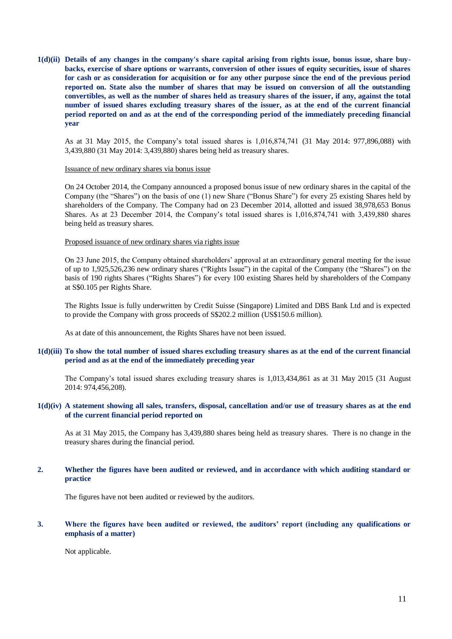**1(d)(ii) Details of any changes in the company's share capital arising from rights issue, bonus issue, share buybacks, exercise of share options or warrants, conversion of other issues of equity securities, issue of shares for cash or as consideration for acquisition or for any other purpose since the end of the previous period reported on. State also the number of shares that may be issued on conversion of all the outstanding convertibles, as well as the number of shares held as treasury shares of the issuer, if any, against the total number of issued shares excluding treasury shares of the issuer, as at the end of the current financial period reported on and as at the end of the corresponding period of the immediately preceding financial year**

As at 31 May 2015, the Company's total issued shares is 1,016,874,741 (31 May 2014: 977,896,088) with 3,439,880 (31 May 2014: 3,439,880) shares being held as treasury shares.

#### Issuance of new ordinary shares via bonus issue

On 24 October 2014, the Company announced a proposed bonus issue of new ordinary shares in the capital of the Company (the "Shares") on the basis of one (1) new Share ("Bonus Share") for every 25 existing Shares held by shareholders of the Company. The Company had on 23 December 2014, allotted and issued 38,978,653 Bonus Shares. As at 23 December 2014, the Company's total issued shares is 1,016,874,741 with 3,439,880 shares being held as treasury shares.

#### Proposed issuance of new ordinary shares via rights issue

On 23 June 2015, the Company obtained shareholders' approval at an extraordinary general meeting for the issue of up to 1,925,526,236 new ordinary shares ("Rights Issue") in the capital of the Company (the "Shares") on the basis of 190 rights Shares ("Rights Shares") for every 100 existing Shares held by shareholders of the Company at S\$0.105 per Rights Share.

The Rights Issue is fully underwritten by Credit Suisse (Singapore) Limited and DBS Bank Ltd and is expected to provide the Company with gross proceeds of S\$202.2 million (US\$150.6 million).

As at date of this announcement, the Rights Shares have not been issued.

### **1(d)(iii) To show the total number of issued shares excluding treasury shares as at the end of the current financial period and as at the end of the immediately preceding year**

The Company's total issued shares excluding treasury shares is 1,013,434,861 as at 31 May 2015 (31 August 2014: 974,456,208).

### **1(d)(iv) A statement showing all sales, transfers, disposal, cancellation and/or use of treasury shares as at the end of the current financial period reported on**

As at 31 May 2015, the Company has 3,439,880 shares being held as treasury shares. There is no change in the treasury shares during the financial period.

## **2. Whether the figures have been audited or reviewed, and in accordance with which auditing standard or practice**

The figures have not been audited or reviewed by the auditors.

### **3. Where the figures have been audited or reviewed, the auditors' report (including any qualifications or emphasis of a matter)**

Not applicable.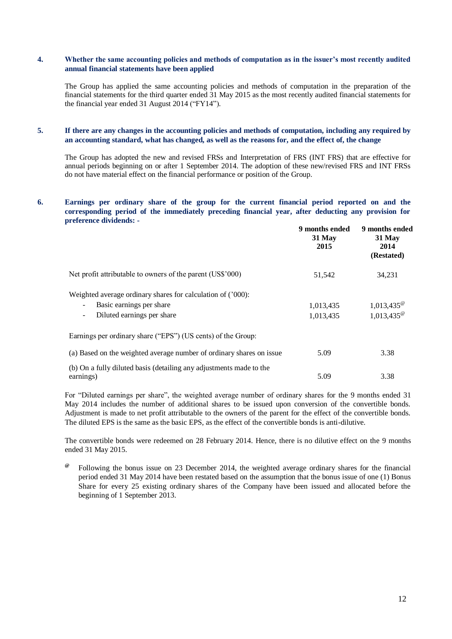## **4. Whether the same accounting policies and methods of computation as in the issuer's most recently audited annual financial statements have been applied**

The Group has applied the same accounting policies and methods of computation in the preparation of the financial statements for the third quarter ended 31 May 2015 as the most recently audited financial statements for the financial year ended 31 August 2014 ("FY14").

### **5. If there are any changes in the accounting policies and methods of computation, including any required by an accounting standard, what has changed, as well as the reasons for, and the effect of, the change**

The Group has adopted the new and revised FRSs and Interpretation of FRS (INT FRS) that are effective for annual periods beginning on or after 1 September 2014. The adoption of these new/revised FRS and INT FRSs do not have material effect on the financial performance or position of the Group.

### **6. Earnings per ordinary share of the group for the current financial period reported on and the corresponding period of the immediately preceding financial year, after deducting any provision for preference dividends: -**

|                                                                      | 9 months ended<br>31 May<br>2015 | 9 months ended<br>31 May<br>2014<br>(Restated) |
|----------------------------------------------------------------------|----------------------------------|------------------------------------------------|
| Net profit attributable to owners of the parent (US\$'000)           | 51,542                           | 34,231                                         |
| Weighted average ordinary shares for calculation of ('000):          |                                  |                                                |
| Basic earnings per share<br>$\overline{\phantom{a}}$                 | 1,013,435                        |                                                |
| Diluted earnings per share<br>$\overline{\phantom{a}}$               | 1,013,435                        | $1,013,435^{\circ}$<br>$1,013,435^{\circ}$     |
| Earnings per ordinary share ("EPS") (US cents) of the Group:         |                                  |                                                |
| (a) Based on the weighted average number of ordinary shares on issue | 5.09                             | 3.38                                           |
| (b) On a fully diluted basis (detailing any adjustments made to the  |                                  |                                                |
| earnings)                                                            | 5.09                             | 3.38                                           |

For "Diluted earnings per share", the weighted average number of ordinary shares for the 9 months ended 31 May 2014 includes the number of additional shares to be issued upon conversion of the convertible bonds. Adjustment is made to net profit attributable to the owners of the parent for the effect of the convertible bonds. The diluted EPS is the same as the basic EPS, as the effect of the convertible bonds is anti-dilutive.

The convertible bonds were redeemed on 28 February 2014. Hence, there is no dilutive effect on the 9 months ended 31 May 2015.

**@** Following the bonus issue on 23 December 2014, the weighted average ordinary shares for the financial period ended 31 May 2014 have been restated based on the assumption that the bonus issue of one (1) Bonus Share for every 25 existing ordinary shares of the Company have been issued and allocated before the beginning of 1 September 2013.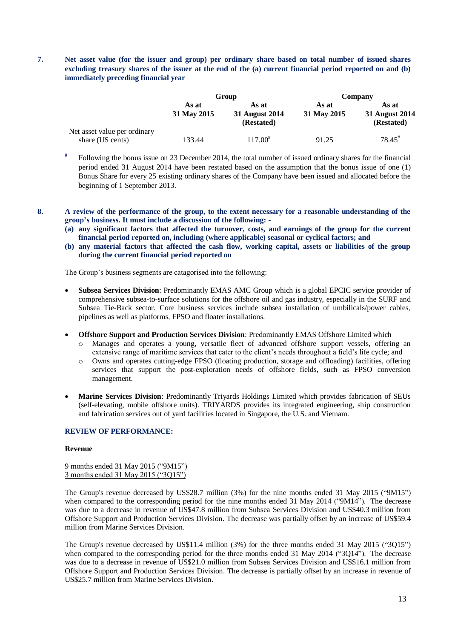**7. Net asset value (for the issuer and group) per ordinary share based on total number of issued shares excluding treasury shares of the issuer at the end of the (a) current financial period reported on and (b) immediately preceding financial year**

|                                                  |                      | Group                                 | Company              |                                       |  |
|--------------------------------------------------|----------------------|---------------------------------------|----------------------|---------------------------------------|--|
|                                                  | As at<br>31 May 2015 | As at<br>31 August 2014<br>(Restated) | As at<br>31 May 2015 | As at<br>31 August 2014<br>(Restated) |  |
| Net asset value per ordinary<br>share (US cents) | 133.44               | $117.00^{*}$                          | 91.25                | $78.45^{\text{*}}$                    |  |

- **#** Following the bonus issue on 23 December 2014, the total number of issued ordinary shares for the financial period ended 31 August 2014 have been restated based on the assumption that the bonus issue of one (1) Bonus Share for every 25 existing ordinary shares of the Company have been issued and allocated before the beginning of 1 September 2013.
- 

**8. A review of the performance of the group, to the extent necessary for a reasonable understanding of the group's business. It must include a discussion of the following: -**

- **(a) any significant factors that affected the turnover, costs, and earnings of the group for the current financial period reported on, including (where applicable) seasonal or cyclical factors; and**
- **(b) any material factors that affected the cash flow, working capital, assets or liabilities of the group during the current financial period reported on**

The Group's business segments are catagorised into the following:

- **Subsea Services Division**: Predominantly EMAS AMC Group which is a global EPCIC service provider of comprehensive subsea-to-surface solutions for the offshore oil and gas industry, especially in the SURF and Subsea Tie-Back sector. Core business services include subsea installation of umbilicals/power cables, pipelines as well as platforms, FPSO and floater installations.
- **Offshore Support and Production Services Division**: Predominantly EMAS Offshore Limited which
	- o Manages and operates a young, versatile fleet of advanced offshore support vessels, offering an extensive range of maritime services that cater to the client's needs throughout a field's life cycle; and
	- o Owns and operates cutting-edge FPSO (floating production, storage and offloading) facilities, offering services that support the post-exploration needs of offshore fields, such as FPSO conversion management.
- **Marine Services Division**: Predominantly Triyards Holdings Limited which provides fabrication of SEUs (self-elevating, mobile offshore units). TRIYARDS provides its integrated engineering, ship construction and fabrication services out of yard facilities located in Singapore, the U.S. and Vietnam.

### **REVIEW OF PERFORMANCE:**

#### **Revenue**

9 months ended 31 May 2015 ("9M15") 3 months ended 31 May 2015 ("3Q15")

The Group's revenue decreased by US\$28.7 million (3%) for the nine months ended 31 May 2015 ("9M15") when compared to the corresponding period for the nine months ended 31 May 2014 ("9M14"). The decrease was due to a decrease in revenue of US\$47.8 million from Subsea Services Division and US\$40.3 million from Offshore Support and Production Services Division. The decrease was partially offset by an increase of US\$59.4 million from Marine Services Division.

The Group's revenue decreased by US\$11.4 million (3%) for the three months ended 31 May 2015 ("3Q15") when compared to the corresponding period for the three months ended 31 May 2014 ("3O14"). The decrease was due to a decrease in revenue of US\$21.0 million from Subsea Services Division and US\$16.1 million from Offshore Support and Production Services Division. The decrease is partially offset by an increase in revenue of US\$25.7 million from Marine Services Division.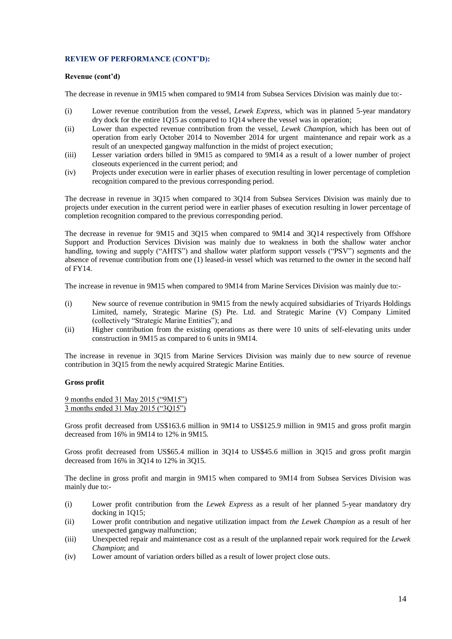### **Revenue (cont'd)**

The decrease in revenue in 9M15 when compared to 9M14 from Subsea Services Division was mainly due to:-

- (i) Lower revenue contribution from the vessel, *Lewek Express,* which was in planned 5-year mandatory dry dock for the entire 1Q15 as compared to 1Q14 where the vessel was in operation;
- (ii) Lower than expected revenue contribution from the vessel, *Lewek Champion,* which has been out of operation from early October 2014 to November 2014 for urgent maintenance and repair work as a result of an unexpected gangway malfunction in the midst of project execution;
- (iii) Lesser variation orders billed in 9M15 as compared to 9M14 as a result of a lower number of project closeouts experienced in the current period; and
- (iv) Projects under execution were in earlier phases of execution resulting in lower percentage of completion recognition compared to the previous corresponding period.

The decrease in revenue in 3Q15 when compared to 3Q14 from Subsea Services Division was mainly due to projects under execution in the current period were in earlier phases of execution resulting in lower percentage of completion recognition compared to the previous corresponding period.

The decrease in revenue for 9M15 and 3Q15 when compared to 9M14 and 3Q14 respectively from Offshore Support and Production Services Division was mainly due to weakness in both the shallow water anchor handling, towing and supply ("AHTS") and shallow water platform support vessels ("PSV") segments and the absence of revenue contribution from one (1) leased-in vessel which was returned to the owner in the second half of FY14.

The increase in revenue in 9M15 when compared to 9M14 from Marine Services Division was mainly due to:-

- (i) New source of revenue contribution in 9M15 from the newly acquired subsidiaries of Triyards Holdings Limited, namely, Strategic Marine (S) Pte. Ltd. and Strategic Marine (V) Company Limited (collectively "Strategic Marine Entities"); and
- (ii) Higher contribution from the existing operations as there were 10 units of self-elevating units under construction in 9M15 as compared to 6 units in 9M14.

The increase in revenue in 3Q15 from Marine Services Division was mainly due to new source of revenue contribution in 3Q15 from the newly acquired Strategic Marine Entities.

## **Gross profit**

9 months ended 31 May 2015 ("9M15") 3 months ended 31 May 2015 ("3Q15")

Gross profit decreased from US\$163.6 million in 9M14 to US\$125.9 million in 9M15 and gross profit margin decreased from 16% in 9M14 to 12% in 9M15.

Gross profit decreased from US\$65.4 million in 3Q14 to US\$45.6 million in 3Q15 and gross profit margin decreased from 16% in 3Q14 to 12% in 3Q15.

The decline in gross profit and margin in 9M15 when compared to 9M14 from Subsea Services Division was mainly due to:-

- (i) Lower profit contribution from the *Lewek Express* as a result of her planned 5-year mandatory dry docking in 1Q15;
- (ii) Lower profit contribution and negative utilization impact from *the Lewek Champion* as a result of her unexpected gangway malfunction;
- (iii) Unexpected repair and maintenance cost as a result of the unplanned repair work required for the *Lewek Champion*; and
- (iv) Lower amount of variation orders billed as a result of lower project close outs.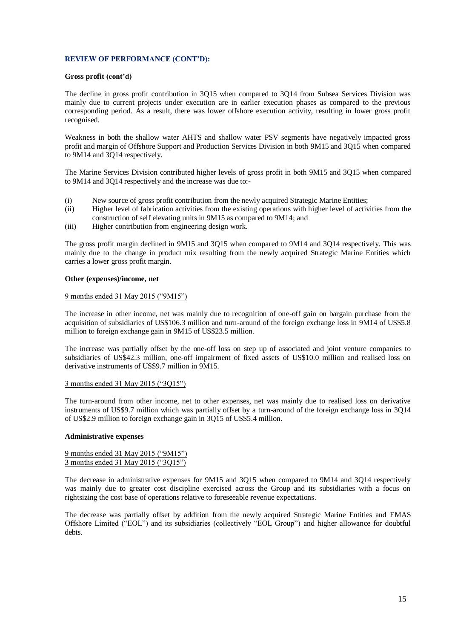### **Gross profit (cont'd)**

The decline in gross profit contribution in 3Q15 when compared to 3Q14 from Subsea Services Division was mainly due to current projects under execution are in earlier execution phases as compared to the previous corresponding period. As a result, there was lower offshore execution activity, resulting in lower gross profit recognised.

Weakness in both the shallow water AHTS and shallow water PSV segments have negatively impacted gross profit and margin of Offshore Support and Production Services Division in both 9M15 and 3Q15 when compared to 9M14 and 3Q14 respectively.

The Marine Services Division contributed higher levels of gross profit in both 9M15 and 3Q15 when compared to 9M14 and 3Q14 respectively and the increase was due to:-

- (i) New source of gross profit contribution from the newly acquired Strategic Marine Entities;
- (ii) Higher level of fabrication activities from the existing operations with higher level of activities from the construction of self elevating units in 9M15 as compared to 9M14; and
- (iii) Higher contribution from engineering design work.

The gross profit margin declined in 9M15 and 3Q15 when compared to 9M14 and 3Q14 respectively. This was mainly due to the change in product mix resulting from the newly acquired Strategic Marine Entities which carries a lower gross profit margin.

### **Other (expenses)/income, net**

### 9 months ended 31 May 2015 ("9M15")

The increase in other income, net was mainly due to recognition of one-off gain on bargain purchase from the acquisition of subsidiaries of US\$106.3 million and turn-around of the foreign exchange loss in 9M14 of US\$5.8 million to foreign exchange gain in 9M15 of US\$23.5 million.

The increase was partially offset by the one-off loss on step up of associated and joint venture companies to subsidiaries of US\$42.3 million, one-off impairment of fixed assets of US\$10.0 million and realised loss on derivative instruments of US\$9.7 million in 9M15.

## 3 months ended 31 May 2015 ("3Q15")

The turn-around from other income, net to other expenses, net was mainly due to realised loss on derivative instruments of US\$9.7 million which was partially offset by a turn-around of the foreign exchange loss in 3Q14 of US\$2.9 million to foreign exchange gain in 3Q15 of US\$5.4 million.

#### **Administrative expenses**

|  |  |  | 9 months ended 31 May 2015 ("9M15") |
|--|--|--|-------------------------------------|
|  |  |  | 3 months ended 31 May 2015 ("3Q15") |

The decrease in administrative expenses for 9M15 and 3Q15 when compared to 9M14 and 3Q14 respectively was mainly due to greater cost discipline exercised across the Group and its subsidiaries with a focus on rightsizing the cost base of operations relative to foreseeable revenue expectations.

The decrease was partially offset by addition from the newly acquired Strategic Marine Entities and EMAS Offshore Limited ("EOL") and its subsidiaries (collectively "EOL Group") and higher allowance for doubtful debts.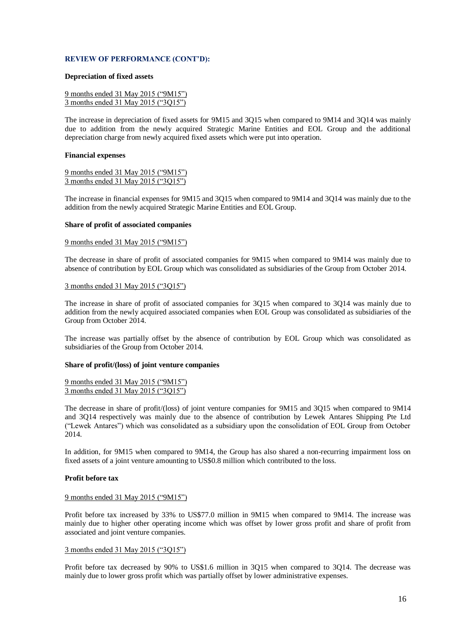#### **Depreciation of fixed assets**

|  |  |  | 9 months ended 31 May 2015 ("9M15") |
|--|--|--|-------------------------------------|
|  |  |  | 3 months ended 31 May 2015 ("3Q15") |

The increase in depreciation of fixed assets for 9M15 and 3Q15 when compared to 9M14 and 3Q14 was mainly due to addition from the newly acquired Strategic Marine Entities and EOL Group and the additional depreciation charge from newly acquired fixed assets which were put into operation.

#### **Financial expenses**

9 months ended 31 May 2015 ("9M15") 3 months ended 31 May 2015 ("3Q15")

The increase in financial expenses for 9M15 and 3Q15 when compared to 9M14 and 3Q14 was mainly due to the addition from the newly acquired Strategic Marine Entities and EOL Group.

### **Share of profit of associated companies**

#### 9 months ended 31 May 2015 ("9M15")

The decrease in share of profit of associated companies for 9M15 when compared to 9M14 was mainly due to absence of contribution by EOL Group which was consolidated as subsidiaries of the Group from October 2014.

### 3 months ended 31 May 2015 ("3Q15")

The increase in share of profit of associated companies for 3Q15 when compared to 3Q14 was mainly due to addition from the newly acquired associated companies when EOL Group was consolidated as subsidiaries of the Group from October 2014.

The increase was partially offset by the absence of contribution by EOL Group which was consolidated as subsidiaries of the Group from October 2014.

#### **Share of profit/(loss) of joint venture companies**

9 months ended 31 May 2015 ("9M15") 3 months ended 31 May 2015 ("3Q15")

The decrease in share of profit/(loss) of joint venture companies for 9M15 and 3Q15 when compared to 9M14 and 3Q14 respectively was mainly due to the absence of contribution by Lewek Antares Shipping Pte Ltd ("Lewek Antares") which was consolidated as a subsidiary upon the consolidation of EOL Group from October 2014.

In addition, for 9M15 when compared to 9M14, the Group has also shared a non-recurring impairment loss on fixed assets of a joint venture amounting to US\$0.8 million which contributed to the loss.

## **Profit before tax**

## 9 months ended 31 May 2015 ("9M15")

Profit before tax increased by 33% to US\$77.0 million in 9M15 when compared to 9M14. The increase was mainly due to higher other operating income which was offset by lower gross profit and share of profit from associated and joint venture companies.

#### 3 months ended 31 May 2015 ("3Q15")

Profit before tax decreased by 90% to US\$1.6 million in 3Q15 when compared to 3Q14. The decrease was mainly due to lower gross profit which was partially offset by lower administrative expenses.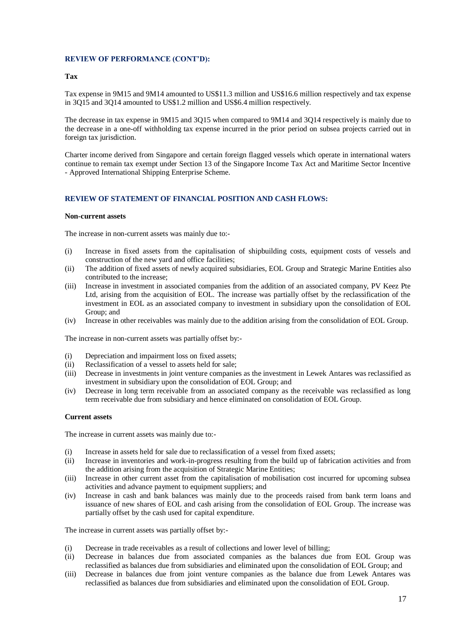### **Tax**

Tax expense in 9M15 and 9M14 amounted to US\$11.3 million and US\$16.6 million respectively and tax expense in 3Q15 and 3Q14 amounted to US\$1.2 million and US\$6.4 million respectively.

The decrease in tax expense in 9M15 and 3Q15 when compared to 9M14 and 3Q14 respectively is mainly due to the decrease in a one-off withholding tax expense incurred in the prior period on subsea projects carried out in foreign tax jurisdiction.

Charter income derived from Singapore and certain foreign flagged vessels which operate in international waters continue to remain tax exempt under Section 13 of the Singapore Income Tax Act and Maritime Sector Incentive - Approved International Shipping Enterprise Scheme.

## **REVIEW OF STATEMENT OF FINANCIAL POSITION AND CASH FLOWS:**

#### **Non-current assets**

The increase in non-current assets was mainly due to:-

- (i) Increase in fixed assets from the capitalisation of shipbuilding costs, equipment costs of vessels and construction of the new yard and office facilities;
- (ii) The addition of fixed assets of newly acquired subsidiaries, EOL Group and Strategic Marine Entities also contributed to the increase;
- (iii) Increase in investment in associated companies from the addition of an associated company, PV Keez Pte Ltd, arising from the acquisition of EOL. The increase was partially offset by the reclassification of the investment in EOL as an associated company to investment in subsidiary upon the consolidation of EOL Group; and
- (iv) Increase in other receivables was mainly due to the addition arising from the consolidation of EOL Group.

The increase in non-current assets was partially offset by:-

- (i) Depreciation and impairment loss on fixed assets;
- (ii) Reclassification of a vessel to assets held for sale;
- (iii) Decrease in investments in joint venture companies as the investment in Lewek Antares was reclassified as investment in subsidiary upon the consolidation of EOL Group; and
- (iv) Decrease in long term receivable from an associated company as the receivable was reclassified as long term receivable due from subsidiary and hence eliminated on consolidation of EOL Group.

## **Current assets**

The increase in current assets was mainly due to:-

- (i) Increase in assets held for sale due to reclassification of a vessel from fixed assets;
- (ii) Increase in inventories and work-in-progress resulting from the build up of fabrication activities and from the addition arising from the acquisition of Strategic Marine Entities;
- (iii) Increase in other current asset from the capitalisation of mobilisation cost incurred for upcoming subsea activities and advance payment to equipment suppliers; and
- (iv) Increase in cash and bank balances was mainly due to the proceeds raised from bank term loans and issuance of new shares of EOL and cash arising from the consolidation of EOL Group. The increase was partially offset by the cash used for capital expenditure.

The increase in current assets was partially offset by:-

- (i) Decrease in trade receivables as a result of collections and lower level of billing;
- (ii) Decrease in balances due from associated companies as the balances due from EOL Group was reclassified as balances due from subsidiaries and eliminated upon the consolidation of EOL Group; and
- (iii) Decrease in balances due from joint venture companies as the balance due from Lewek Antares was reclassified as balances due from subsidiaries and eliminated upon the consolidation of EOL Group.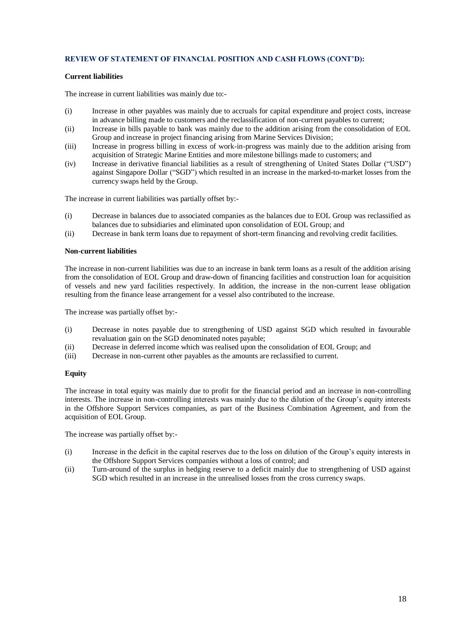## **REVIEW OF STATEMENT OF FINANCIAL POSITION AND CASH FLOWS (CONT'D):**

### **Current liabilities**

The increase in current liabilities was mainly due to:-

- (i) Increase in other payables was mainly due to accruals for capital expenditure and project costs, increase in advance billing made to customers and the reclassification of non-current payables to current;
- (ii) Increase in bills payable to bank was mainly due to the addition arising from the consolidation of EOL Group and increase in project financing arising from Marine Services Division;
- (iii) Increase in progress billing in excess of work-in-progress was mainly due to the addition arising from acquisition of Strategic Marine Entities and more milestone billings made to customers; and
- (iv) Increase in derivative financial liabilities as a result of strengthening of United States Dollar ("USD") against Singapore Dollar ("SGD") which resulted in an increase in the marked-to-market losses from the currency swaps held by the Group.

The increase in current liabilities was partially offset by:-

- (i) Decrease in balances due to associated companies as the balances due to EOL Group was reclassified as balances due to subsidiaries and eliminated upon consolidation of EOL Group; and
- (ii) Decrease in bank term loans due to repayment of short-term financing and revolving credit facilities.

### **Non-current liabilities**

The increase in non-current liabilities was due to an increase in bank term loans as a result of the addition arising from the consolidation of EOL Group and draw-down of financing facilities and construction loan for acquisition of vessels and new yard facilities respectively. In addition, the increase in the non-current lease obligation resulting from the finance lease arrangement for a vessel also contributed to the increase.

The increase was partially offset by:-

- (i) Decrease in notes payable due to strengthening of USD against SGD which resulted in favourable revaluation gain on the SGD denominated notes payable;
- (ii) Decrease in deferred income which was realised upon the consolidation of EOL Group; and
- (iii) Decrease in non-current other payables as the amounts are reclassified to current.

#### **Equity**

The increase in total equity was mainly due to profit for the financial period and an increase in non-controlling interests. The increase in non-controlling interests was mainly due to the dilution of the Group's equity interests in the Offshore Support Services companies, as part of the Business Combination Agreement, and from the acquisition of EOL Group.

The increase was partially offset by:-

- (i) Increase in the deficit in the capital reserves due to the loss on dilution of the Group's equity interests in the Offshore Support Services companies without a loss of control; and
- (ii) Turn-around of the surplus in hedging reserve to a deficit mainly due to strengthening of USD against SGD which resulted in an increase in the unrealised losses from the cross currency swaps.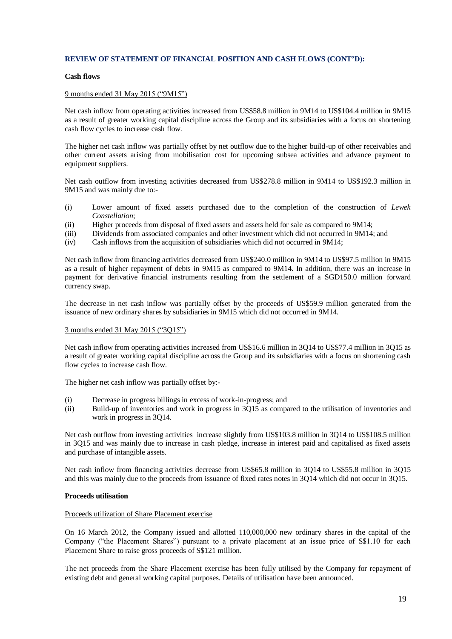## **REVIEW OF STATEMENT OF FINANCIAL POSITION AND CASH FLOWS (CONT'D):**

### **Cash flows**

### 9 months ended 31 May 2015 ("9M15")

Net cash inflow from operating activities increased from US\$58.8 million in 9M14 to US\$104.4 million in 9M15 as a result of greater working capital discipline across the Group and its subsidiaries with a focus on shortening cash flow cycles to increase cash flow.

The higher net cash inflow was partially offset by net outflow due to the higher build-up of other receivables and other current assets arising from mobilisation cost for upcoming subsea activities and advance payment to equipment suppliers.

Net cash outflow from investing activities decreased from US\$278.8 million in 9M14 to US\$192.3 million in 9M15 and was mainly due to:-

- (i) Lower amount of fixed assets purchased due to the completion of the construction of *Lewek Constellation*;
- (ii) Higher proceeds from disposal of fixed assets and assets held for sale as compared to 9M14;
- (iii) Dividends from associated companies and other investment which did not occurred in 9M14; and
- (iv) Cash inflows from the acquisition of subsidiaries which did not occurred in 9M14;

Net cash inflow from financing activities decreased from US\$240.0 million in 9M14 to US\$97.5 million in 9M15 as a result of higher repayment of debts in 9M15 as compared to 9M14. In addition, there was an increase in payment for derivative financial instruments resulting from the settlement of a SGD150.0 million forward currency swap.

The decrease in net cash inflow was partially offset by the proceeds of US\$59.9 million generated from the issuance of new ordinary shares by subsidiaries in 9M15 which did not occurred in 9M14.

## 3 months ended 31 May 2015 ("3Q15")

Net cash inflow from operating activities increased from US\$16.6 million in 3Q14 to US\$77.4 million in 3Q15 as a result of greater working capital discipline across the Group and its subsidiaries with a focus on shortening cash flow cycles to increase cash flow.

The higher net cash inflow was partially offset by:-

- (i) Decrease in progress billings in excess of work-in-progress; and
- (ii) Build-up of inventories and work in progress in 3Q15 as compared to the utilisation of inventories and work in progress in 3Q14.

Net cash outflow from investing activities increase slightly from US\$103.8 million in 3Q14 to US\$108.5 million in 3Q15 and was mainly due to increase in cash pledge, increase in interest paid and capitalised as fixed assets and purchase of intangible assets.

Net cash inflow from financing activities decrease from US\$65.8 million in 3Q14 to US\$55.8 million in 3Q15 and this was mainly due to the proceeds from issuance of fixed rates notes in 3Q14 which did not occur in 3Q15.

#### **Proceeds utilisation**

### Proceeds utilization of Share Placement exercise

On 16 March 2012, the Company issued and allotted 110,000,000 new ordinary shares in the capital of the Company ("the Placement Shares") pursuant to a private placement at an issue price of S\$1.10 for each Placement Share to raise gross proceeds of S\$121 million.

The net proceeds from the Share Placement exercise has been fully utilised by the Company for repayment of existing debt and general working capital purposes. Details of utilisation have been announced.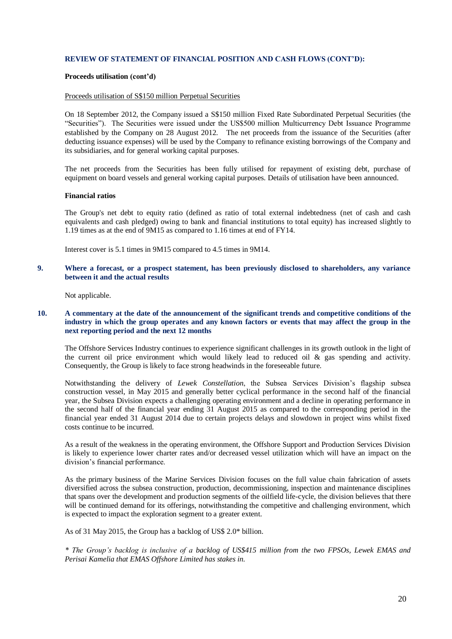## **REVIEW OF STATEMENT OF FINANCIAL POSITION AND CASH FLOWS (CONT'D):**

#### **Proceeds utilisation (cont'd)**

#### Proceeds utilisation of S\$150 million Perpetual Securities

On 18 September 2012, the Company issued a S\$150 million Fixed Rate Subordinated Perpetual Securities (the "Securities"). The Securities were issued under the US\$500 million Multicurrency Debt Issuance Programme established by the Company on 28 August 2012. The net proceeds from the issuance of the Securities (after deducting issuance expenses) will be used by the Company to refinance existing borrowings of the Company and its subsidiaries, and for general working capital purposes.

The net proceeds from the Securities has been fully utilised for repayment of existing debt, purchase of equipment on board vessels and general working capital purposes. Details of utilisation have been announced.

#### **Financial ratios**

The Group's net debt to equity ratio (defined as ratio of total external indebtedness (net of cash and cash equivalents and cash pledged) owing to bank and financial institutions to total equity) has increased slightly to 1.19 times as at the end of 9M15 as compared to 1.16 times at end of FY14.

Interest cover is 5.1 times in 9M15 compared to 4.5 times in 9M14.

### **9. Where a forecast, or a prospect statement, has been previously disclosed to shareholders, any variance between it and the actual results**

Not applicable.

## **10. A commentary at the date of the announcement of the significant trends and competitive conditions of the industry in which the group operates and any known factors or events that may affect the group in the next reporting period and the next 12 months**

The Offshore Services Industry continues to experience significant challenges in its growth outlook in the light of the current oil price environment which would likely lead to reduced oil  $\&$  gas spending and activity. Consequently, the Group is likely to face strong headwinds in the foreseeable future.

Notwithstanding the delivery of *Lewek Constellation*, the Subsea Services Division's flagship subsea construction vessel, in May 2015 and generally better cyclical performance in the second half of the financial year, the Subsea Division expects a challenging operating environment and a decline in operating performance in the second half of the financial year ending 31 August 2015 as compared to the corresponding period in the financial year ended 31 August 2014 due to certain projects delays and slowdown in project wins whilst fixed costs continue to be incurred.

As a result of the weakness in the operating environment, the Offshore Support and Production Services Division is likely to experience lower charter rates and/or decreased vessel utilization which will have an impact on the division's financial performance.

As the primary business of the Marine Services Division focuses on the full value chain fabrication of assets diversified across the subsea construction, production, decommissioning, inspection and maintenance disciplines that spans over the development and production segments of the oilfield life-cycle, the division believes that there will be continued demand for its offerings, notwithstanding the competitive and challenging environment, which is expected to impact the exploration segment to a greater extent.

As of 31 May 2015, the Group has a backlog of US\$ 2.0\* billion.

*\* The Group's backlog is inclusive of a backlog of US\$415 million from the two FPSOs, Lewek EMAS and Perisai Kamelia that EMAS Offshore Limited has stakes in.*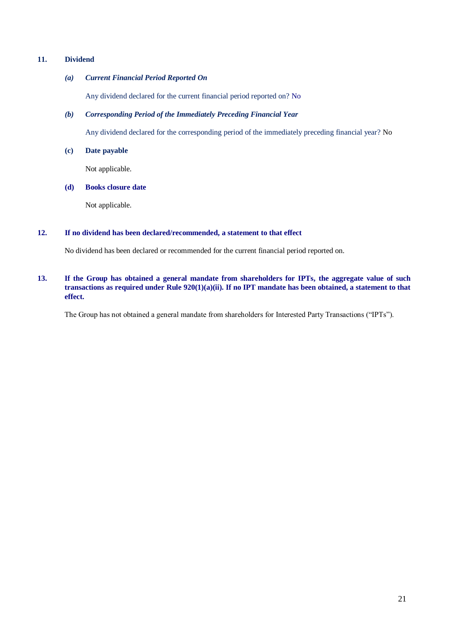# **11. Dividend**

## *(a) Current Financial Period Reported On*

Any dividend declared for the current financial period reported on? No

# *(b) Corresponding Period of the Immediately Preceding Financial Year*

Any dividend declared for the corresponding period of the immediately preceding financial year? No

## **(c) Date payable**

Not applicable.

# **(d) Books closure date**

Not applicable.

# **12. If no dividend has been declared/recommended, a statement to that effect**

No dividend has been declared or recommended for the current financial period reported on.

## **13. If the Group has obtained a general mandate from shareholders for IPTs, the aggregate value of such transactions as required under Rule 920(1)(a)(ii). If no IPT mandate has been obtained, a statement to that effect.**

The Group has not obtained a general mandate from shareholders for Interested Party Transactions ("IPTs").